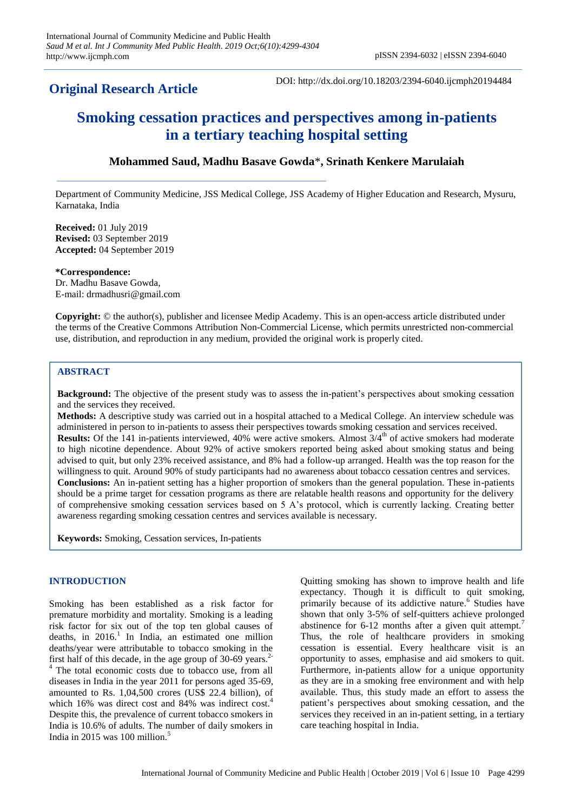# **Original Research Article**

DOI: http://dx.doi.org/10.18203/2394-6040.ijcmph20194484

# **Smoking cessation practices and perspectives among in-patients in a tertiary teaching hospital setting**

## **Mohammed Saud, Madhu Basave Gowda**\***, Srinath Kenkere Marulaiah**

Department of Community Medicine, JSS Medical College, JSS Academy of Higher Education and Research, Mysuru, Karnataka, India

**Received:** 01 July 2019 **Revised:** 03 September 2019 **Accepted:** 04 September 2019

**\*Correspondence:** Dr. Madhu Basave Gowda, E-mail: drmadhusri@gmail.com

**Copyright:** © the author(s), publisher and licensee Medip Academy. This is an open-access article distributed under the terms of the Creative Commons Attribution Non-Commercial License, which permits unrestricted non-commercial use, distribution, and reproduction in any medium, provided the original work is properly cited.

### **ABSTRACT**

**Background:** The objective of the present study was to assess the in-patient's perspectives about smoking cessation and the services they received.

**Methods:** A descriptive study was carried out in a hospital attached to a Medical College. An interview schedule was administered in person to in-patients to assess their perspectives towards smoking cessation and services received. **Results:** Of the 141 in-patients interviewed, 40% were active smokers. Almost  $3/4^{\text{th}}$  of active smokers had moderate to high nicotine dependence. About 92% of active smokers reported being asked about smoking status and being advised to quit, but only 23% received assistance, and 8% had a follow-up arranged. Health was the top reason for the willingness to quit. Around 90% of study participants had no awareness about tobacco cessation centres and services. **Conclusions:** An in-patient setting has a higher proportion of smokers than the general population. These in-patients should be a prime target for cessation programs as there are relatable health reasons and opportunity for the delivery of comprehensive smoking cessation services based on 5 A's protocol, which is currently lacking. Creating better awareness regarding smoking cessation centres and services available is necessary.

**Keywords:** Smoking, Cessation services, In-patients

#### **INTRODUCTION**

Smoking has been established as a risk factor for premature morbidity and mortality. Smoking is a leading risk factor for six out of the top ten global causes of deaths, in  $2016$ <sup>1</sup>. In India, an estimated one million deaths/year were attributable to tobacco smoking in the first half of this decade, in the age group of  $30-69$  years.<sup>2-</sup> <sup>4</sup> The total economic costs due to tobacco use, from all diseases in India in the year 2011 for persons aged 35-69, amounted to Rs. 1,04,500 crores (US\$ 22.4 billion), of which 16% was direct cost and 84% was indirect cost.<sup>4</sup> Despite this, the prevalence of current tobacco smokers in India is 10.6% of adults. The number of daily smokers in India in 2015 was 100 million.<sup>5</sup>

Quitting smoking has shown to improve health and life expectancy. Though it is difficult to quit smoking, primarily because of its addictive nature.<sup>6</sup> Studies have shown that only 3-5% of self-quitters achieve prolonged abstinence for  $6-12$  months after a given quit attempt.<sup>7</sup> Thus, the role of healthcare providers in smoking cessation is essential. Every healthcare visit is an opportunity to asses, emphasise and aid smokers to quit. Furthermore, in-patients allow for a unique opportunity as they are in a smoking free environment and with help available. Thus, this study made an effort to assess the patient's perspectives about smoking cessation, and the services they received in an in-patient setting, in a tertiary care teaching hospital in India.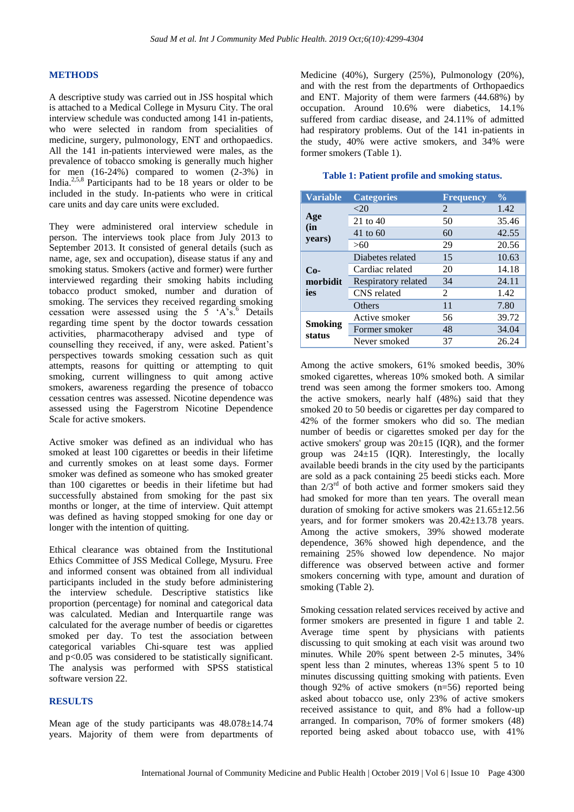#### **METHODS**

A descriptive study was carried out in JSS hospital which is attached to a Medical College in Mysuru City. The oral interview schedule was conducted among 141 in-patients, who were selected in random from specialities of medicine, surgery, pulmonology, ENT and orthopaedics. All the 141 in-patients interviewed were males, as the prevalence of tobacco smoking is generally much higher for men (16-24%) compared to women (2-3%) in India.2,5,8 Participants had to be 18 years or older to be included in the study. In-patients who were in critical care units and day care units were excluded.

They were administered oral interview schedule in person. The interviews took place from July 2013 to September 2013. It consisted of general details (such as name, age, sex and occupation), disease status if any and smoking status. Smokers (active and former) were further interviewed regarding their smoking habits including tobacco product smoked, number and duration of smoking. The services they received regarding smoking cessation were assessed using the  $5 \times A \times 6$  Details regarding time spent by the doctor towards cessation activities, pharmacotherapy advised and type of counselling they received, if any, were asked. Patient's perspectives towards smoking cessation such as quit attempts, reasons for quitting or attempting to quit smoking, current willingness to quit among active smokers, awareness regarding the presence of tobacco cessation centres was assessed. Nicotine dependence was assessed using the Fagerstrom Nicotine Dependence Scale for active smokers.

Active smoker was defined as an individual who has smoked at least 100 cigarettes or beedis in their lifetime and currently smokes on at least some days. Former smoker was defined as someone who has smoked greater than 100 cigarettes or beedis in their lifetime but had successfully abstained from smoking for the past six months or longer, at the time of interview. Quit attempt was defined as having stopped smoking for one day or longer with the intention of quitting.

Ethical clearance was obtained from the Institutional Ethics Committee of JSS Medical College, Mysuru. Free and informed consent was obtained from all individual participants included in the study before administering the interview schedule. Descriptive statistics like proportion (percentage) for nominal and categorical data was calculated. Median and Interquartile range was calculated for the average number of beedis or cigarettes smoked per day. To test the association between categorical variables Chi-square test was applied and p<0.05 was considered to be statistically significant. The analysis was performed with SPSS statistical software version 22.

#### **RESULTS**

Mean age of the study participants was 48.078±14.74 years. Majority of them were from departments of Medicine (40%), Surgery (25%), Pulmonology (20%), and with the rest from the departments of Orthopaedics and ENT. Majority of them were farmers (44.68%) by occupation. Around 10.6% were diabetics, 14.1% suffered from cardiac disease, and 24.11% of admitted had respiratory problems. Out of the 141 in-patients in the study, 40% were active smokers, and 34% were former smokers (Table 1).

| <b>Variable</b>          | <b>Categories</b>   | <b>Frequency</b> | $\frac{0}{0}$ |
|--------------------------|---------------------|------------------|---------------|
| Age<br>(in<br>years)     | ${<}20$             | 2                | 1.42          |
|                          | 21 to 40            | 50               | 35.46         |
|                          | 41 to 60            | 60               | 42.55         |
|                          | >60                 | 29               | 20.56         |
| $Co-$<br>morbidit<br>ies | Diabetes related    | 15               | 10.63         |
|                          | Cardiac related     | 20               | 14.18         |
|                          | Respiratory related | 34               | 24.11         |
|                          | CNS related         | 2                | 1.42          |
|                          | <b>Others</b>       | 11               | 7.80          |
| <b>Smoking</b><br>status | Active smoker       | 56               | 39.72         |
|                          | Former smoker       | 48               | 34.04         |
|                          | Never smoked        | 37               | 26.24         |

#### **Table 1: Patient profile and smoking status.**

Among the active smokers, 61% smoked beedis, 30% smoked cigarettes, whereas 10% smoked both. A similar trend was seen among the former smokers too. Among the active smokers, nearly half (48%) said that they smoked 20 to 50 beedis or cigarettes per day compared to 42% of the former smokers who did so. The median number of beedis or cigarettes smoked per day for the active smokers' group was  $20±15$  (IQR), and the former group was  $24\pm 15$  (IQR). Interestingly, the locally available beedi brands in the city used by the participants are sold as a pack containing 25 beedi sticks each. More than  $2/3^{rd}$  of both active and former smokers said they had smoked for more than ten years. The overall mean duration of smoking for active smokers was 21.65±12.56 years, and for former smokers was 20.42±13.78 years. Among the active smokers, 39% showed moderate dependence, 36% showed high dependence, and the remaining 25% showed low dependence. No major difference was observed between active and former smokers concerning with type, amount and duration of smoking (Table 2).

Smoking cessation related services received by active and former smokers are presented in figure 1 and table 2. Average time spent by physicians with patients discussing to quit smoking at each visit was around two minutes. While 20% spent between 2-5 minutes, 34% spent less than 2 minutes, whereas 13% spent 5 to 10 minutes discussing quitting smoking with patients. Even though 92% of active smokers (n=56) reported being asked about tobacco use, only 23% of active smokers received assistance to quit, and 8% had a follow-up arranged. In comparison, 70% of former smokers (48) reported being asked about tobacco use, with 41%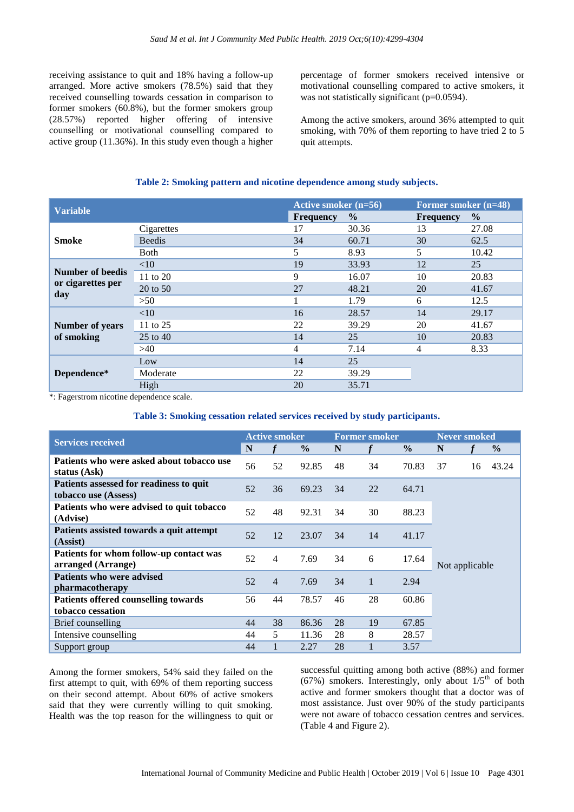receiving assistance to quit and 18% having a follow-up arranged. More active smokers (78.5%) said that they received counselling towards cessation in comparison to former smokers (60.8%), but the former smokers group (28.57%) reported higher offering of intensive counselling or motivational counselling compared to active group (11.36%). In this study even though a higher percentage of former smokers received intensive or motivational counselling compared to active smokers, it was not statistically significant (p=0.0594).

Among the active smokers, around 36% attempted to quit smoking, with 70% of them reporting to have tried 2 to 5 quit attempts.

#### **Table 2: Smoking pattern and nicotine dependence among study subjects.**

| <b>Variable</b>                              |               | Active smoker (n=56) |               | Former smoker (n=48) |               |  |
|----------------------------------------------|---------------|----------------------|---------------|----------------------|---------------|--|
|                                              |               | <b>Frequency</b>     | $\frac{6}{9}$ | <b>Frequency</b>     | $\frac{6}{6}$ |  |
| <b>Smoke</b>                                 | Cigarettes    | 17                   | 30.36         | 13                   | 27.08         |  |
|                                              | <b>Beedis</b> | 34                   | 60.71         | 30                   | 62.5          |  |
|                                              | <b>B</b> oth  | 5                    | 8.93          | 5                    | 10.42         |  |
| Number of beedis<br>or cigarettes per<br>day | <10           | 19                   | 33.93         | 12                   | 25            |  |
|                                              | 11 to 20      | 9                    | 16.07         | 10                   | 20.83         |  |
|                                              | 20 to 50      | 27                   | 48.21         | 20                   | 41.67         |  |
|                                              | >50           |                      | 1.79          | 6                    | 12.5          |  |
| <b>Number of years</b><br>of smoking         | <10           | 16                   | 28.57         | 14                   | 29.17         |  |
|                                              | 11 to 25      | 22                   | 39.29         | 20                   | 41.67         |  |
|                                              | 25 to 40      | 14                   | 25            | 10                   | 20.83         |  |
|                                              | >40           | 4                    | 7.14          | 4                    | 8.33          |  |
| Dependence*                                  | Low           | 14                   | 25            |                      |               |  |
|                                              | Moderate      | 22                   | 39.29         |                      |               |  |
|                                              | High          | 20                   | 35.71         |                      |               |  |

\*: Fagerstrom nicotine dependence scale.

#### **Table 3: Smoking cessation related services received by study participants.**

| <b>Services received</b>                                        |    | <b>Active smoker</b> |               |    | <b>Former smoker</b> |               |                | <b>Never smoked</b> |               |  |
|-----------------------------------------------------------------|----|----------------------|---------------|----|----------------------|---------------|----------------|---------------------|---------------|--|
|                                                                 |    |                      | $\frac{0}{0}$ | N  |                      | $\frac{0}{0}$ | N              |                     | $\frac{6}{9}$ |  |
| Patients who were asked about tobacco use<br>status (Ask)       | 56 | 52                   | 92.85         | 48 | 34                   | 70.83         | 37             | 16                  | 43.24         |  |
| Patients assessed for readiness to quit<br>tobacco use (Assess) | 52 | 36                   | 69.23         | 34 | 22                   | 64.71         |                |                     |               |  |
| Patients who were advised to quit tobacco<br>(Advise)           | 52 | 48                   | 92.31         | 34 | 30                   | 88.23         |                |                     |               |  |
| Patients assisted towards a quit attempt<br>(Assist)            | 52 | 12                   | 23.07         | 34 | 14                   | 41.17         |                |                     |               |  |
| Patients for whom follow-up contact was<br>arranged (Arrange)   | 52 | 4                    | 7.69          | 34 | 6                    | 17.64         | Not applicable |                     |               |  |
| Patients who were advised<br><i>pharmacotherapy</i>             |    | $\overline{4}$       | 7.69          | 34 | $\mathbf{1}$         | 2.94          |                |                     |               |  |
| Patients offered counselling towards<br>tobacco cessation       | 56 | 44                   | 78.57         | 46 | 28                   | 60.86         |                |                     |               |  |
| Brief counselling                                               | 44 | 38                   | 86.36         | 28 | 19                   | 67.85         |                |                     |               |  |
| Intensive counselling                                           | 44 | 5                    | 11.36         | 28 | 8                    | 28.57         |                |                     |               |  |
| Support group                                                   | 44 |                      | 2.27          | 28 |                      | 3.57          |                |                     |               |  |

Among the former smokers, 54% said they failed on the first attempt to quit, with 69% of them reporting success on their second attempt. About 60% of active smokers said that they were currently willing to quit smoking. Health was the top reason for the willingness to quit or successful quitting among both active (88%) and former (67%) smokers. Interestingly, only about  $1/5<sup>th</sup>$  of both active and former smokers thought that a doctor was of most assistance. Just over 90% of the study participants were not aware of tobacco cessation centres and services. (Table 4 and Figure 2).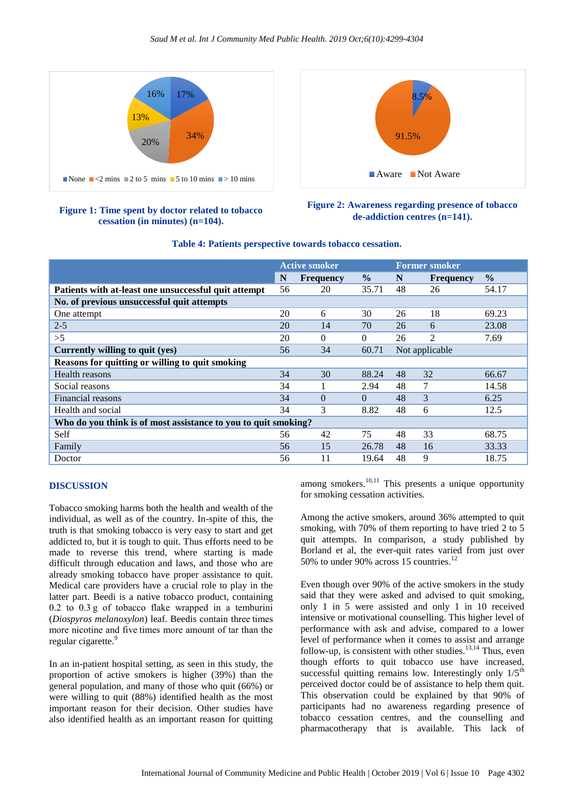

#### **Figure 1: Time spent by doctor related to tobacco cessation (in minutes) (n=104).**



#### **Figure 2: Awareness regarding presence of tobacco de-addiction centres (n=141).**

|                                                                | <b>Active smoker</b> |                  |               | <b>Former smoker</b> |                  |               |  |  |
|----------------------------------------------------------------|----------------------|------------------|---------------|----------------------|------------------|---------------|--|--|
|                                                                | N                    | <b>Frequency</b> | $\frac{0}{0}$ | N                    | <b>Frequency</b> | $\frac{0}{0}$ |  |  |
| Patients with at-least one unsuccessful quit attempt           | 56                   | 20               | 35.71         | 48                   | 26               | 54.17         |  |  |
| No. of previous unsuccessful quit attempts                     |                      |                  |               |                      |                  |               |  |  |
| One attempt                                                    | 20                   | 6                | 30            | 26                   | 18               | 69.23         |  |  |
| $2 - 5$                                                        | 20                   | 14               | 70            | 26                   | 6                | 23.08         |  |  |
| >5                                                             | 20                   | $\Omega$         | $\Omega$      | 26                   | $\overline{c}$   | 7.69          |  |  |
| Currently willing to quit (yes)                                | 56                   | 34               | 60.71         | Not applicable       |                  |               |  |  |
| Reasons for quitting or willing to quit smoking                |                      |                  |               |                      |                  |               |  |  |
| Health reasons                                                 | 34                   | 30               | 88.24         | 48                   | 32               | 66.67         |  |  |
| Social reasons                                                 | 34                   |                  | 2.94          | 48                   | 7                | 14.58         |  |  |
| Financial reasons                                              | 34                   | $\Omega$         | $\Omega$      | 48                   | 3                | 6.25          |  |  |
| Health and social                                              | 34                   | 3                | 8.82          | 48                   | 6                | 12.5          |  |  |
| Who do you think is of most assistance to you to quit smoking? |                      |                  |               |                      |                  |               |  |  |
| Self                                                           | 56                   | 42               | 75            | 48                   | 33               | 68.75         |  |  |
| Family                                                         | 56                   | 15               | 26.78         | 48                   | 16               | 33.33         |  |  |
| Doctor                                                         | 56                   | 11               | 19.64         | 48                   | 9                | 18.75         |  |  |

#### **Table 4: Patients perspective towards tobacco cessation.**

#### **DISCUSSION**

Tobacco smoking harms both the health and wealth of the individual, as well as of the country. In-spite of this, the truth is that smoking tobacco is very easy to start and get addicted to, but it is tough to quit. Thus efforts need to be made to reverse this trend, where starting is made difficult through education and laws, and those who are already smoking tobacco have proper assistance to quit. Medical care providers have a crucial role to play in the latter part. Beedi is a native tobacco product, containing 0.2 to 0.3 g of tobacco flake wrapped in a temburini (*Diospyros melanoxylon*) leaf. Beedis contain three times more nicotine and five times more amount of tar than the regular cigarette.<sup>9</sup>

In an in-patient hospital setting, as seen in this study, the proportion of active smokers is higher (39%) than the general population, and many of those who quit (66%) or were willing to quit (88%) identified health as the most important reason for their decision. Other studies have also identified health as an important reason for quitting among smokers.<sup>10,11</sup> This presents a unique opportunity for smoking cessation activities.

Among the active smokers, around 36% attempted to quit smoking, with 70% of them reporting to have tried 2 to 5 quit attempts. In comparison, a study published by Borland et al, the ever-quit rates varied from just over 50% to under 90% across 15 countries.<sup>12</sup>

Even though over 90% of the active smokers in the study said that they were asked and advised to quit smoking, only 1 in 5 were assisted and only 1 in 10 received intensive or motivational counselling. This higher level of performance with ask and advise, compared to a lower level of performance when it comes to assist and arrange follow-up, is consistent with other studies.<sup>13,14</sup> Thus, even though efforts to quit tobacco use have increased, successful quitting remains low. Interestingly only  $1/5<sup>th</sup>$ perceived doctor could be of assistance to help them quit. This observation could be explained by that 90% of participants had no awareness regarding presence of tobacco cessation centres, and the counselling and pharmacotherapy that is available. This lack of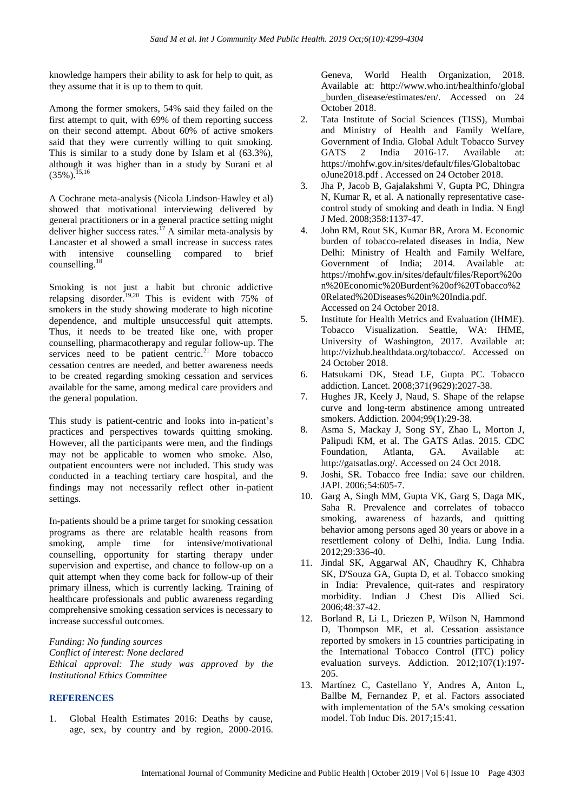knowledge hampers their ability to ask for help to quit, as they assume that it is up to them to quit.

Among the former smokers, 54% said they failed on the first attempt to quit, with 69% of them reporting success on their second attempt. About 60% of active smokers said that they were currently willing to quit smoking. This is similar to a study done by Islam et al (63.3%), although it was higher than in a study by Surani et al  $(35\%)$ <sup>15,16</sup>

A Cochrane meta-analysis (Nicola Lindson‐Hawley et al) showed that motivational interviewing delivered by general practitioners or in a general practice setting might deliver higher success rates.<sup>17</sup> A similar meta-analysis by Lancaster et al showed a small increase in success rates with intensive counselling compared to brief counselling.<sup>18</sup>

Smoking is not just a habit but chronic addictive relapsing disorder.<sup>19,20</sup> This is evident with 75% of smokers in the study showing moderate to high nicotine dependence, and multiple unsuccessful quit attempts. Thus, it needs to be treated like one, with proper counselling, pharmacotherapy and regular follow-up. The services need to be patient centric.<sup>21</sup> More tobacco cessation centres are needed, and better awareness needs to be created regarding smoking cessation and services available for the same, among medical care providers and the general population.

This study is patient-centric and looks into in-patient's practices and perspectives towards quitting smoking. However, all the participants were men, and the findings may not be applicable to women who smoke. Also, outpatient encounters were not included. This study was conducted in a teaching tertiary care hospital, and the findings may not necessarily reflect other in-patient settings.

In-patients should be a prime target for smoking cessation programs as there are relatable health reasons from smoking, ample time for intensive/motivational counselling, opportunity for starting therapy under supervision and expertise, and chance to follow-up on a quit attempt when they come back for follow-up of their primary illness, which is currently lacking. Training of healthcare professionals and public awareness regarding comprehensive smoking cessation services is necessary to increase successful outcomes.

*Funding: No funding sources Conflict of interest: None declared Ethical approval: The study was approved by the Institutional Ethics Committee*

#### **REFERENCES**

1. Global Health Estimates 2016: Deaths by cause, age, sex, by country and by region, 2000-2016. Geneva, World Health Organization, 2018. Available at: [http://www.who.int/healthinfo/](http://www.who.int/healthinfo)global burden disease/estimates/en/. Accessed on 24 October 2018.

- 2. Tata Institute of Social Sciences (TISS), Mumbai and Ministry of Health and Family Welfare, Government of India. Global Adult Tobacco Survey GATS 2 India 2016-17. Available at: https://mohfw.gov.in/sites/default/files/Globaltobac oJune2018.pdf . Accessed on 24 October 2018.
- 3. Jha P, Jacob B, Gajalakshmi V, Gupta PC, Dhingra N, Kumar R, et al. A nationally representative casecontrol study of smoking and death in India. N Engl J Med. 2008;358:1137-47.
- 4. John RM, Rout SK, Kumar BR, Arora M. Economic burden of tobacco-related diseases in India, New Delhi: Ministry of Health and Family Welfare, Government of India; 2014. Available at: https://mohfw.gov.in/sites/default/files/Report%20o n%20Economic%20Burdent%20of%20Tobacco%2 0Related%20Diseases%20in%20India.pdf. Accessed on 24 October 2018.
- 5. Institute for Health Metrics and Evaluation (IHME). Tobacco Visualization. Seattle, WA: IHME, University of Washington, 2017. Available at: http://vizhub.healthdata.org/tobacco/. Accessed on 24 October 2018.
- 6. Hatsukami DK, Stead LF, Gupta PC. Tobacco addiction. Lancet. 2008;371(9629):2027-38.
- 7. Hughes JR, Keely J, Naud, S. Shape of the relapse curve and long-term abstinence among untreated smokers. Addiction. 2004;99(1):29-38.
- 8. Asma S, Mackay J, Song SY, Zhao L, Morton J, Palipudi KM, et al. The GATS Atlas. 2015. CDC Foundation, Atlanta, GA. Available at: http://gatsatlas.org/. Accessed on 24 Oct 2018.
- 9. Joshi, SR. Tobacco free India: save our children. JAPI. 2006;54:605-7.
- 10. Garg A, Singh MM, Gupta VK, Garg S, Daga MK, Saha R. Prevalence and correlates of tobacco smoking, awareness of hazards, and quitting behavior among persons aged 30 years or above in a resettlement colony of Delhi, India. Lung India. 2012;29:336-40.
- 11. Jindal SK, Aggarwal AN, Chaudhry K, Chhabra SK, D'Souza GA, Gupta D, et al. Tobacco smoking in India: Prevalence, quit-rates and respiratory morbidity. Indian J Chest Dis Allied Sci. 2006;48:37-42.
- 12. Borland R, Li L, Driezen P, Wilson N, Hammond D, Thompson ME, et al. Cessation assistance reported by smokers in 15 countries participating in the International Tobacco Control (ITC) policy evaluation surveys. Addiction. 2012;107(1):197- 205.
- 13. Martínez C, Castellano Y, Andres A, Anton L, Ballbe M, Fernandez P, et al. Factors associated with implementation of the 5A's smoking cessation model. Tob Induc Dis. 2017;15:41.